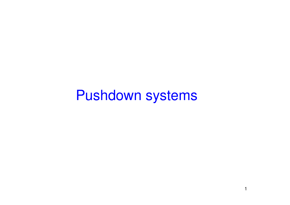Pushdown systems

1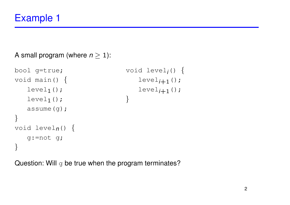A small program (where  $n \geq 1$ ):

```
bool g=true;
void main() {
   level1();
   level1();
   assume(g);
}
void leveln() {
   g:=not g;
}
                             void leveli() {
                             }
```
Question: Will  $\sigma$  be true when the program terminates?

 $level_{i+1}($ ;

 $level_{i+1}($ ;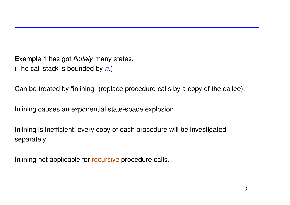Example 1 has got *finitely* many states. (The call stack is bounded by *n*.)

Can be treated by "inlining" (replace procedure calls by a copy of the callee).

Inlining causes an exponential state-space explosion.

Inlining is inefficient: every copy of each procedure will be investigated separately.

Inlining not applicable for recursive procedure calls.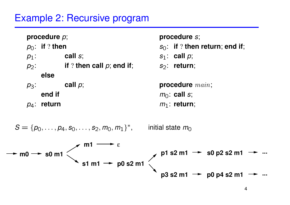# Example 2: Recursive program

| procedure $p$ ;                                                                                        | procedure s;                                   |
|--------------------------------------------------------------------------------------------------------|------------------------------------------------|
| $p_0$ : if ? then                                                                                      | $s_0$ : if ? then return; end if;              |
| call $s$ ;<br>$p_1$ :                                                                                  | $s_1$ : call $p$ ;                             |
| if ? then call $\rho$ ; end if;<br>$p_2$ :                                                             | $S_2$ : return;                                |
| else                                                                                                   |                                                |
| call $\rho$ ;<br>$p_3$ :                                                                               | procedure $main$ ;                             |
| end if                                                                                                 | $m_0$ : call s;                                |
| $p_4$ : return                                                                                         | $m_1$ : return;                                |
| $S = \{p_0, \ldots, p_4, s_0, \ldots, s_2, m_0, m_1\}^*$ , initial state $m_0$<br>m <sub>1</sub>       |                                                |
| $\sqrt{1 - 4}$ m n s2<br>$\sim$ m0 $\rightarrow$ s0 m1 $\le$<br>$\rightarrow$ p0 s2 m1 $\sim$<br>s1 m1 | $p1 s2 m1 \rightarrow s0 p2 s2 m1$             |
|                                                                                                        | $p3 s2 m1 \rightarrow p0 p4 s2 m1 \rightarrow$ |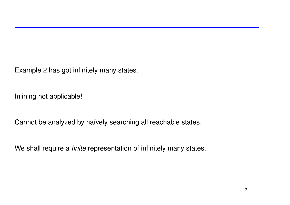Example 2 has got infinitely many states.

Inlining not applicable!

Cannot be analyzed by naïvely searching all reachable states.

We shall require a *finite* representation of infinitely many states.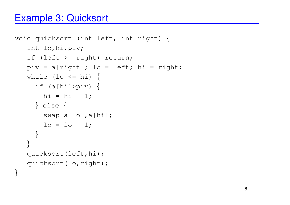# Example 3: Quicksort

}

```
void quicksort (int left, int right) {
   int lo,hi,piv;
   if (left >= right) return;
   piv = a[right]; lo = left; hi = right;
   while (lo \le hi) {
     if (a[hi]>piv) {
      hi = hi - 1;
     } else {
       swap a[lo],a[hi];
       lo = lo + 1;}
   }
   quicksort(left,hi);
   quicksort(lo,right);
```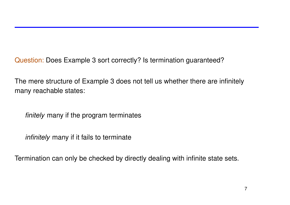Question: Does Example 3 sort correctly? Is termination guaranteed?

The mere structure of Example 3 does not tell us whether there are infinitely many reachable states:

*finitely* many if the program terminates

*infinitely* many if it fails to terminate

Termination can only be checked by directly dealing with infinite state sets.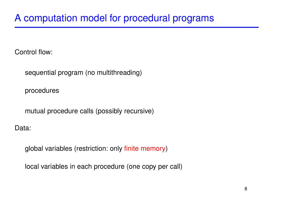Control flow:

sequential program (no multithreading)

procedures

mutual procedure calls (possibly recursive)

Data:

global variables (restriction: only finite memory)

local variables in each procedure (one copy per call)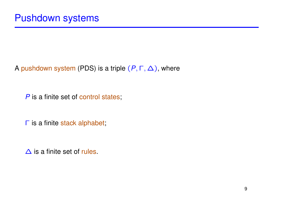A pushdown system (PDS) is a triple  $(P, \Gamma, \Delta)$ , where

*P* is a finite set of control states;

Γ is a finite stack alphabet;

∆ is a finite set of rules.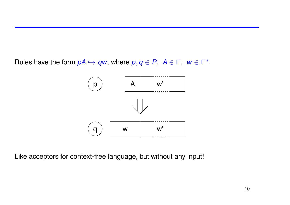Rules have the form  $pA \hookrightarrow qw$ , where  $p, q \in P$ ,  $A \in \Gamma$ ,  $w \in \Gamma^*$ .



Like acceptors for context-free language, but without any input!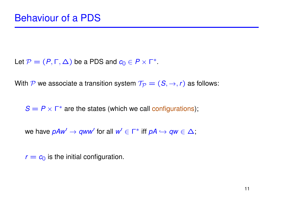Let  $P = (P, \Gamma, \Delta)$  be a PDS and  $c_0 \in P \times \Gamma^*$ .

With P we associate a transition system  $\mathcal{T}_{\mathcal{P}} = (\mathcal{S}, \rightarrow, r)$  as follows:

 $S = P \times \Gamma^*$  are the states (which we call configurations);

we have  $p A w' \to q w w'$  for all  $w' \in \Gamma^*$  iff  $p A \hookrightarrow q w \in \Delta$ ;

 $r = c_0$  is the initial configuration.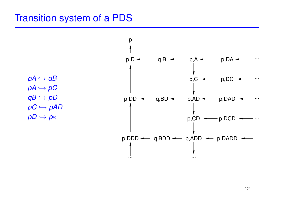#### Transition system of a PDS

 $pA \hookrightarrow qB$  $pA \hookrightarrow pC$  $qB \hookrightarrow pD$  $pC \hookrightarrow pAD$  $pD \hookrightarrow p_{\mathcal{E}}$ 

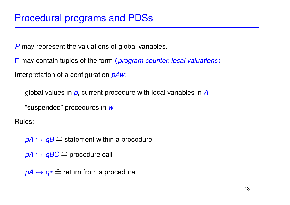*P* may represent the valuations of global variables.

Γ may contain tuples of the form (*program counter*, *local valuations*) Interpretation of a configuration *pAw*:

global values in *p*, current procedure with local variables in *A*

"suspended" procedures in *w*

Rules:

 $pA \hookrightarrow qB \cong$  statement within a procedure

 $pA \hookrightarrow qBC \cong$  procedure call

 $pA \hookrightarrow q_{\varepsilon} \widehat{=}$  return from a procedure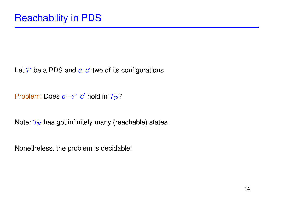Let  $\mathcal P$  be a PDS and  $c, c'$  two of its configurations.

Problem: Does  $c \rightarrow^* c'$  hold in  $\mathcal{T}_{\mathcal{P}}$ ?

Note:  $\mathcal{T}_{\mathcal{P}}$  has got infinitely many (reachable) states.

Nonetheless, the problem is decidable!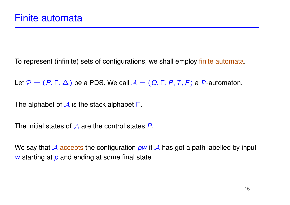To represent (infinite) sets of configurations, we shall employ finite automata.

Let  $P = (P, \Gamma, \Delta)$  be a PDS. We call  $A = (Q, \Gamma, P, T, F)$  a  $P$ -automaton.

The alphabet of  $\mathcal A$  is the stack alphabet  $\Gamma$ .

The initial states of A are the control states P.

We say that  $\mathcal A$  accepts the configuration *pw* if  $\mathcal A$  has got a path labelled by input *w* starting at *p* and ending at some final state.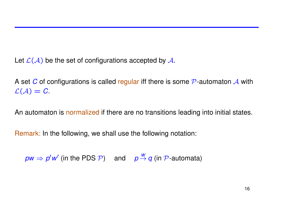Let  $\mathcal{L}(\mathcal{A})$  be the set of configurations accepted by  $\mathcal{A}$ .

A set *C* of configurations is called regular iff there is some  $\mathcal P$ -automaton  $\mathcal A$  with  $\mathcal{L}(\mathcal{A}) = C$ .

An automaton is normalized if there are no transitions leading into initial states.

Remark: In the following, we shall use the following notation:

 $\rho w \Rightarrow p'w'$  (in the PDS  $\mathcal{P}$ ) and  $p \stackrel{w}{\rightarrow} q$  (in  $\mathcal{P}$ -automata)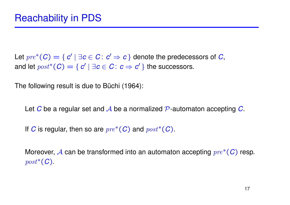Let  $\mathit{pre}^*(C) = \{ c' \mid \exists c \in C \colon c' \Rightarrow c \}$  denote the predecessors of *C*, and let  $post^*(C) = \{ c' | \exists c \in C : c \Rightarrow c' \}$  the successors.

The following result is due to Büchi (1964):

Let *C* be a regular set and *A* be a normalized P-automaton accepting *C*.

If *C* is regular, then so are pre∗(*C*) and post∗(*C*).

Moreover, *A* can be transformed into an automaton accepting  $pre<sup>*</sup>(C)$  resp. post∗(*C*).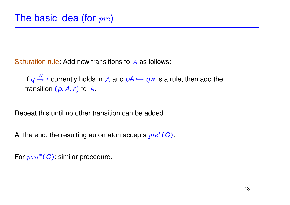Saturation rule: Add new transitions to  $\mathcal A$  as follows:

If *q*  $\frac{w}{\rightarrow}$  *r* currently holds in A and  $pA \hookrightarrow qw$  is a rule, then add the transition  $(p, A, r)$  to  $A$ .

Repeat this until no other transition can be added.

At the end, the resulting automaton accepts pre∗(*C*).

For post∗(*C*): similar procedure.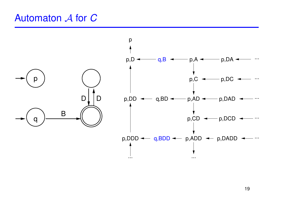### Automaton A for C

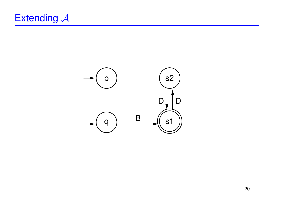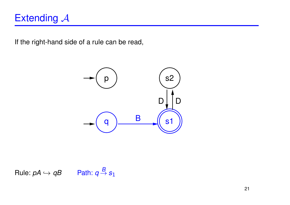# Extending  $A$

If the right-hand side of a rule can be read,



Rule: 
$$
pA \hookrightarrow qB
$$
 Path:  $q \stackrel{B}{\rightarrow} s_1$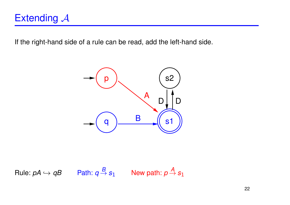If the right-hand side of a rule can be read, add the left-hand side.



 $Rule: pA \hookrightarrow qB$  Path:  $q \stackrel{B}{\rightarrow} s_1$  New path:  $p \stackrel{A}{\rightarrow} s_1$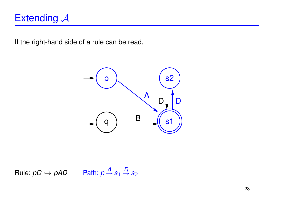# Extending  $A$

If the right-hand side of a rule can be read,



 $Rule: pC \hookrightarrow pAD$  Path:  $p \stackrel{A}{\rightarrow} s_1 \stackrel{D}{\rightarrow} s_2$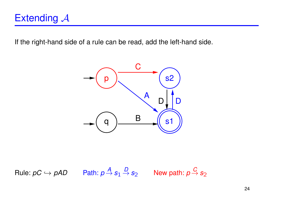If the right-hand side of a rule can be read, add the left-hand side.



 $\mathsf{Rule}\colon pC\hookrightarrow pAD\qquad \mathsf{Path}\colon p\mathop{\to}\limits^A\mathsf{s}_1\mathop{\to}\limits^D\mathsf{s}_2\qquad\mathsf{New~path}\colon p\mathop{\to}\limits^C\mathsf{s}_2$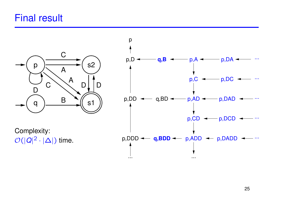# Final result



Complexity:  $\mathcal{O}(|Q|^2 \cdot |\Delta|)$  time.

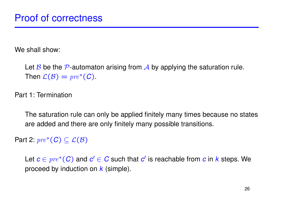We shall show:

Let B be the P-automaton arising from A by applying the saturation rule. Then  $\mathcal{L}(\mathcal{B}) = pre^*(C)$ .

Part 1: Termination

The saturation rule can only be applied finitely many times because no states are added and there are only finitely many possible transitions.

Part 2:  $pre^*(C) \subseteq \mathcal{L}(\mathcal{B})$ 

Let  $c \in pre^*(C)$  and  $c' \in C$  such that  $c'$  is reachable from  $c$  in  $k$  steps. We proceed by induction on *k* (simple).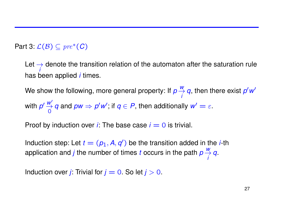#### Part 3:  $\mathcal{L}(\mathcal{B}) \subseteq pre^*(C)$

Let  $\rightarrow$ *i* denote the transition relation of the automaton after the saturation rule has been applied *i* times.

We show the following, more general property: If *p w* → *i q*, then there exist *p* ′*w*′ with *p* ′ *<sup>w</sup>*′ →  $\overline{0}$ *q* and  $pw \Rightarrow p'w'$ , if  $q \in P$ , then additionally  $w' = \varepsilon$ .

Proof by induction over *i*: The base case  $i = 0$  is trivial.

Induction step: Let  $t = (p_1, A, q')$  be the transition added in the *i*-th application and *j* the number of times *t* occurs in the path *p w* → *i q*.

Induction over *j*: Trivial for  $j = 0$ . So let  $j > 0$ .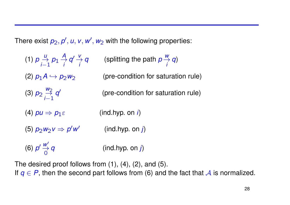There exist  $p_2, p', u, v, w', w_2$  with the following properties:

| (1) $p \underset{i=1}{\overset{U}{\rightarrow}} p_1 \underset{i}{\overset{A}{\rightarrow}} q' \underset{i}{\overset{V}{\rightarrow}} q$ | (splitting the path $p \frac{w}{q} q$ ) |
|-----------------------------------------------------------------------------------------------------------------------------------------|-----------------------------------------|
| (2) $p_1 A \hookrightarrow p_2 w_2$                                                                                                     | (pre-condition for saturation rule)     |
| (3) $p_2 \overset{w_2}{\underset{i=1}{\rightleftharpoons}} q'$                                                                          | (pre-condition for saturation rule)     |
| (4) $pu \Rightarrow p_1 \varepsilon$                                                                                                    | (ind.hyp. on i)                         |
| (5) $p_2w_2v \Rightarrow p'w'$                                                                                                          | (ind.hyp. on j)                         |
| (6) $p' \stackrel{W'}{\rightarrow} q$                                                                                                   | (ind.hyp. on j)                         |

The desired proof follows from (1), (4), (2), and (5). If  $q \in P$ , then the second part follows from (6) and the fact that A is normalized.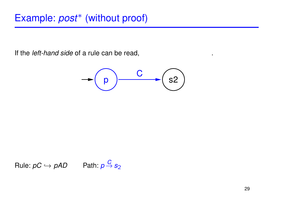If the *left-hand side* of a rule can be read, and the *right-hand side* of a rule can be read,



Rule: 
$$
pC \hookrightarrow pAD
$$
 Path:  $p \xrightarrow{C} s_2$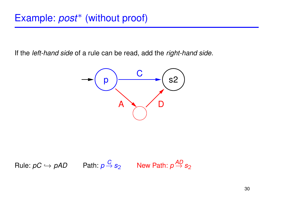If the *left-hand side* of a rule can be read, add the *right-hand side*.



Rule: 
$$
pC \hookrightarrow pAD
$$
 Path:  $p \xrightarrow{C} s_2$  New Path:  $p \xrightarrow{AD} s_2$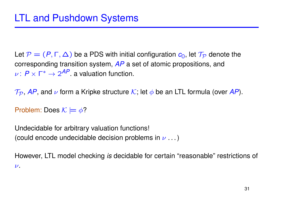Let  $\mathcal{P} = (P, \Gamma, \Delta)$  be a PDS with initial configuration  $c_0$ , let  $\mathcal{T}_{\mathcal{P}}$  denote the corresponding transition system, *AP* a set of atomic propositions, and  $\nu: P \times \Gamma^* \to 2^{AP}$  a valuation function.

 $\mathcal{T}_{\mathcal{P}}$ , AP, and  $\nu$  form a Kripke structure  $\mathcal{K}$ ; let  $\phi$  be an LTL formula (over AP).

Problem: Does  $\mathcal{K} \models \phi$ ?

Undecidable for arbitrary valuation functions! (could encode undecidable decision problems in  $\nu$  ...)

However, LTL model checking *is* decidable for certain "reasonable" restrictions of  $\nu$ .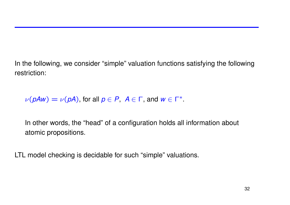In the following, we consider "simple" valuation functions satisfying the following restriction:

 $\nu(pAw) = \nu(pA)$ , for all  $p \in P$ ,  $A \in \Gamma$ , and  $w \in \Gamma^*$ .

In other words, the "head" of a configuration holds all information about atomic propositions.

LTL model checking is decidable for such "simple" valuations.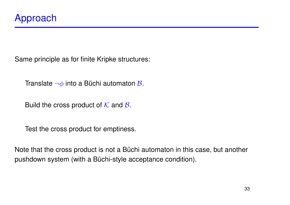Same principle as for finite Kripke structures:

Translate  $\neg \phi$  into a Büchi automaton  $\beta$ .

Build the cross product of  $K$  and  $B$ .

Test the cross product for emptiness.

Note that the cross product is not a Büchi automaton in this case, but another pushdown system (with a Büchi-style acceptance condition).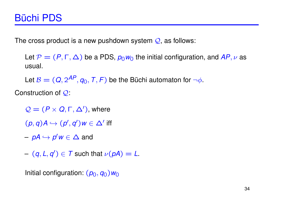The cross product is a new pushdown system  $Q$ , as follows:

Let  $\mathcal{P} = (P, \Gamma, \Delta)$  be a PDS,  $p_0 w_0$  the initial configuration, and AP,  $\nu$  as usual.

Let  $\mathcal{B} = (Q, 2^{AP}, q_0, T, F)$  be the Büchi automaton for  $\neg \phi$ .

Construction of  $Q$ :

 $\mathcal{Q} = (P \times Q, \Gamma, \Delta')$ , where

 $(p, q)$ *A*  $\hookrightarrow$   $(p', q')$ *w*  $\in$   $\Delta'$  iff

– *pA* ,→ *p* ′*w* ∈ ∆ and

 $-(q, L, q') \in T$  such that  $\nu(pA) = L$ .

Initial configuration:  $(p_0, q_0)w_0$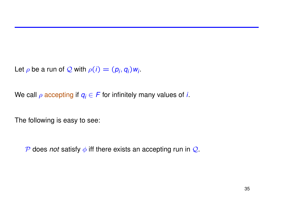Let  $\rho$  be a run of  $\mathcal Q$  with  $\rho(i) = (p_i, q_i) w_i$ .

We call  $\rho$  accepting if  $q_i \in F$  for infinitely many values of *i*.

The following is easy to see:

 $\mathcal P$  does *not* satisfy  $\phi$  iff there exists an accepting run in  $\mathcal Q$ .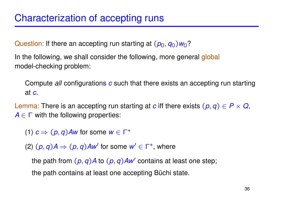Question: If there an accepting run starting at  $(p_0, q_0)w_0$ ?

In the following, we shall consider the following, more general global model-checking problem:

Compute *all* configurations *c* such that there exists an accepting run starting at *c*.

Lemma: There is an accepting run starting at *c* iff there exists  $(p, q) \in P \times Q$ ,  $A \in \Gamma$  with the following properties:

(1)  $c \Rightarrow (p, q)$  *Aw* for some  $w \in \Gamma^*$ 

(2)  $(p, q)A \Rightarrow (p, q)Aw'$  for some  $w' \in \Gamma^*$ , where

the path from  $(p, q)A$  to  $(p, q)Aw'$  contains at least one step; the path contains at least one accepting Büchi state.